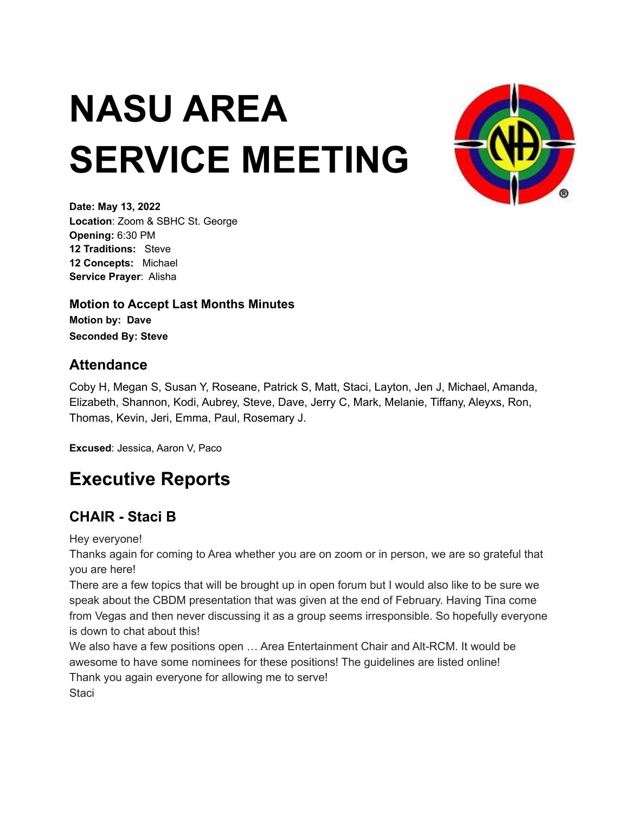# **NASU AREA SERVICE MEETING**



**Date: May 13, 2022 Location**: Zoom & SBHC St. George **Opening:** 6:30 PM **12 Traditions:** Steve **12 Concepts:** Michael **Service Prayer**: Alisha

**Motion to Accept Last Months Minutes Motion by: Dave Seconded By: Steve**

### **Attendance**

Coby H, Megan S, Susan Y, Roseane, Patrick S, Matt, Staci, Layton, Jen J, Michael, Amanda, Elizabeth, Shannon, Kodi, Aubrey, Steve, Dave, Jerry C, Mark, Melanie, Tiffany, Aleyxs, Ron, Thomas, Kevin, Jeri, Emma, Paul, Rosemary J.

**Excused**: Jessica, Aaron V, Paco

# **Executive Reports**

# **CHAIR - Staci B**

Hey everyone!

Thanks again for coming to Area whether you are on zoom or in person, we are so grateful that you are here!

There are a few topics that will be brought up in open forum but I would also like to be sure we speak about the CBDM presentation that was given at the end of February. Having Tina come from Vegas and then never discussing it as a group seems irresponsible. So hopefully everyone is down to chat about this!

We also have a few positions open … Area Entertainment Chair and Alt-RCM. It would be awesome to have some nominees for these positions! The guidelines are listed online! Thank you again everyone for allowing me to serve! **Staci**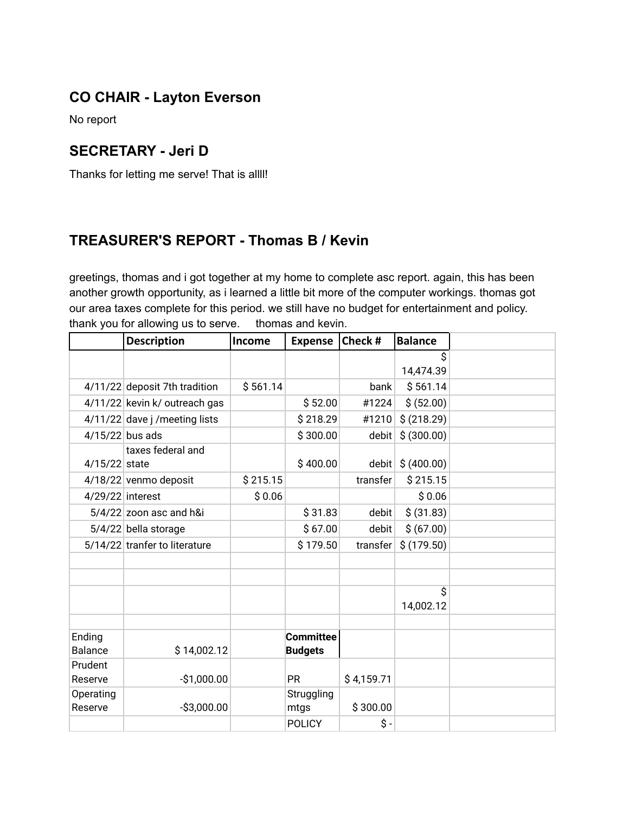# **CO CHAIR - Layton Everson**

No report

### **SECRETARY - Jeri D**

Thanks for letting me serve! That is allll!

### **TREASURER'S REPORT - Thomas B / Kevin**

greetings, thomas and i got together at my home to complete asc report. again, this has been another growth opportunity, as i learned a little bit more of the computer workings. thomas got our area taxes complete for this period. we still have no budget for entertainment and policy. thank you for allowing us to serve. thomas and kevin.

|                   | <b>Description</b>             | Income   | <b>Expense</b> | Check #    | <b>Balance</b>  |  |
|-------------------|--------------------------------|----------|----------------|------------|-----------------|--|
|                   |                                |          |                |            | \$<br>14,474.39 |  |
|                   |                                |          |                |            |                 |  |
|                   | 4/11/22 deposit 7th tradition  | \$561.14 |                | bank       | \$561.14        |  |
|                   | 4/11/22 kevin k/ outreach gas  |          | \$52.00        | #1224      | \$ (52.00)      |  |
|                   | 4/11/22 dave j / meeting lists |          | \$218.29       | #1210      | \$ (218.29)     |  |
| $4/15/22$ bus ads |                                |          | \$300.00       | debit      | \$ (300.00)     |  |
|                   | taxes federal and              |          |                |            |                 |  |
| 4/15/22 state     |                                |          | \$400.00       | debit      | \$ (400.00)     |  |
|                   | 4/18/22 venmo deposit          | \$215.15 |                | transfer   | \$215.15        |  |
| 4/29/22 interest  |                                | \$0.06   |                |            | \$0.06          |  |
|                   | $5/4/22$ zoon asc and h&i      |          | \$31.83        | debit      | \$ (31.83)      |  |
|                   | 5/4/22 bella storage           |          | \$67.00        | debit      | \$ (67.00)      |  |
|                   | 5/14/22 tranfer to literature  |          | \$179.50       | transfer   | \$(179.50)      |  |
|                   |                                |          |                |            |                 |  |
|                   |                                |          |                |            |                 |  |
|                   |                                |          |                |            | Ś               |  |
|                   |                                |          |                |            | 14,002.12       |  |
|                   |                                |          |                |            |                 |  |
| Ending            |                                |          | Committee      |            |                 |  |
| <b>Balance</b>    | \$14,002.12                    |          | <b>Budgets</b> |            |                 |  |
| Prudent           |                                |          |                |            |                 |  |
| Reserve           | $-$1,000.00$                   |          | <b>PR</b>      | \$4,159.71 |                 |  |
| Operating         |                                |          | Struggling     |            |                 |  |
| Reserve           | $-$3,000.00$                   |          | mtgs           | \$300.00   |                 |  |
|                   |                                |          | <b>POLICY</b>  | \$-        |                 |  |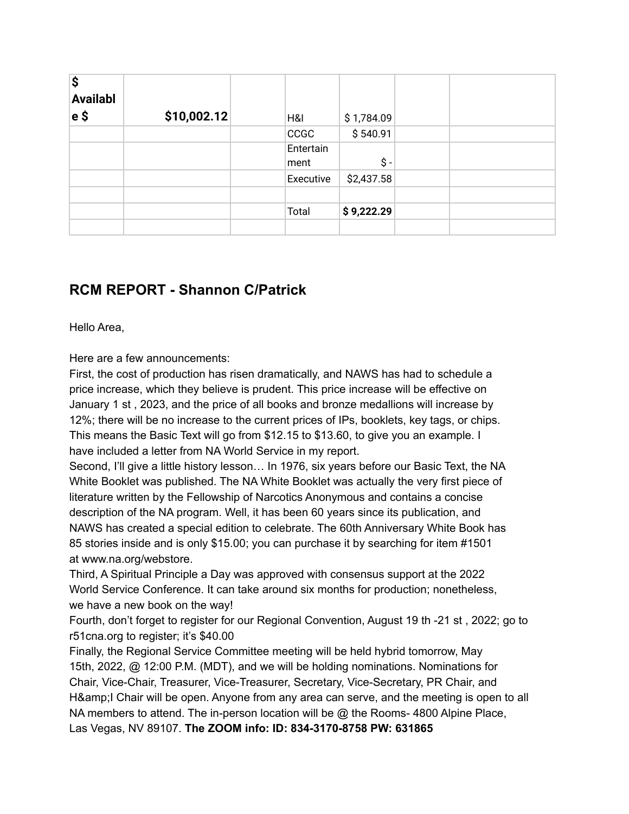| \$<br><b>Availabl</b><br>∣e \$ | \$10,002.12 | H&I         |           | \$1,784.09 |  |  |
|--------------------------------|-------------|-------------|-----------|------------|--|--|
|                                |             | <b>CCGC</b> |           | \$540.91   |  |  |
|                                |             |             | Entertain |            |  |  |
|                                |             | ment        |           | \$-        |  |  |
|                                |             |             | Executive | \$2,437.58 |  |  |
|                                |             |             |           |            |  |  |
|                                |             | Total       |           | \$9,222.29 |  |  |
|                                |             |             |           |            |  |  |

### **RCM REPORT - Shannon C/Patrick**

Hello Area,

Here are a few announcements:

First, the cost of production has risen dramatically, and NAWS has had to schedule a price increase, which they believe is prudent. This price increase will be effective on January 1 st , 2023, and the price of all books and bronze medallions will increase by 12%; there will be no increase to the current prices of IPs, booklets, key tags, or chips. This means the Basic Text will go from \$12.15 to \$13.60, to give you an example. I have included a letter from NA World Service in my report.

Second, I'll give a little history lesson… In 1976, six years before our Basic Text, the NA White Booklet was published. The NA White Booklet was actually the very first piece of literature written by the Fellowship of Narcotics Anonymous and contains a concise description of the NA program. Well, it has been 60 years since its publication, and NAWS has created a special edition to celebrate. The 60th Anniversary White Book has 85 stories inside and is only \$15.00; you can purchase it by searching for item #1501 at www.na.org/webstore.

Third, A Spiritual Principle a Day was approved with consensus support at the 2022 World Service Conference. It can take around six months for production; nonetheless, we have a new book on the way!

Fourth, don't forget to register for our Regional Convention, August 19 th -21 st , 2022; go to r51cna.org to register; it's \$40.00

Finally, the Regional Service Committee meeting will be held hybrid tomorrow, May 15th, 2022, @ 12:00 P.M. (MDT), and we will be holding nominations. Nominations for Chair, Vice-Chair, Treasurer, Vice-Treasurer, Secretary, Vice-Secretary, PR Chair, and H& I Chair will be open. Anyone from any area can serve, and the meeting is open to all NA members to attend. The in-person location will be  $@$  the Rooms- 4800 Alpine Place, Las Vegas, NV 89107. **The ZOOM info: ID: 834-3170-8758 PW: 631865**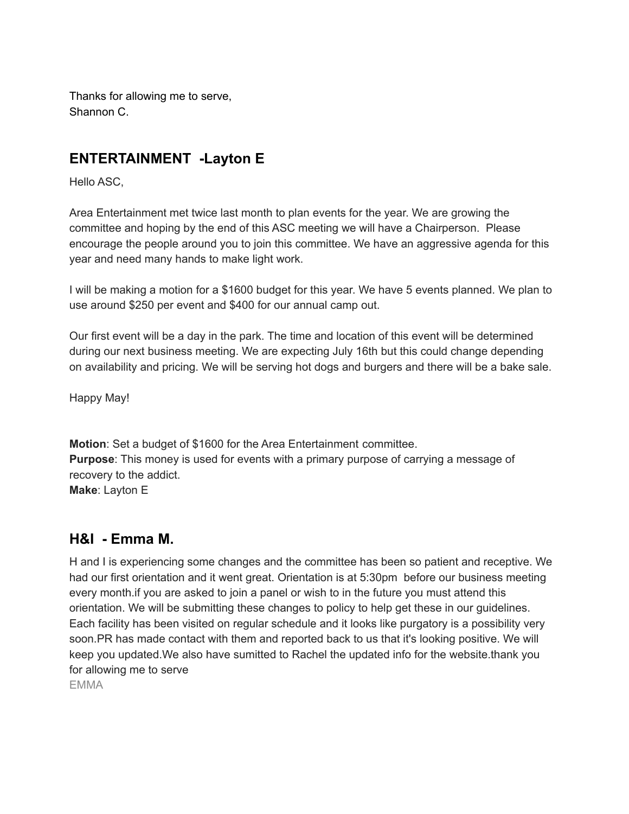Thanks for allowing me to serve, Shannon C.

# **ENTERTAINMENT -Layton E**

Hello ASC,

Area Entertainment met twice last month to plan events for the year. We are growing the committee and hoping by the end of this ASC meeting we will have a Chairperson. Please encourage the people around you to join this committee. We have an aggressive agenda for this year and need many hands to make light work.

I will be making a motion for a \$1600 budget for this year. We have 5 events planned. We plan to use around \$250 per event and \$400 for our annual camp out.

Our first event will be a day in the park. The time and location of this event will be determined during our next business meeting. We are expecting July 16th but this could change depending on availability and pricing. We will be serving hot dogs and burgers and there will be a bake sale.

Happy May!

**Motion**: Set a budget of \$1600 for the Area Entertainment committee. **Purpose**: This money is used for events with a primary purpose of carrying a message of recovery to the addict. **Make**: Layton E

### **H&I - Emma M.**

H and I is experiencing some changes and the committee has been so patient and receptive. We had our first orientation and it went great. Orientation is at 5:30pm before our business meeting every month.if you are asked to join a panel or wish to in the future you must attend this orientation. We will be submitting these changes to policy to help get these in our guidelines. Each facility has been visited on regular schedule and it looks like purgatory is a possibility very soon.PR has made contact with them and reported back to us that it's looking positive. We will keep you updated.We also have sumitted to Rachel the updated info for the website.thank you for allowing me to serve EMMA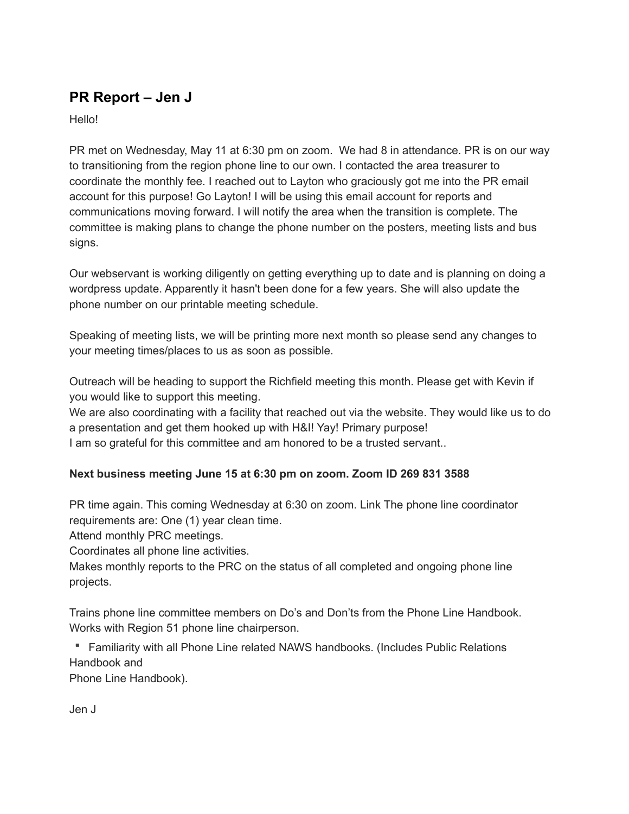# **PR Report – Jen J**

Hello!

PR met on Wednesday, May 11 at 6:30 pm on zoom. We had 8 in attendance. PR is on our way to transitioning from the region phone line to our own. I contacted the area treasurer to coordinate the monthly fee. I reached out to Layton who graciously got me into the PR email account for this purpose! Go Layton! I will be using this email account for reports and communications moving forward. I will notify the area when the transition is complete. The committee is making plans to change the phone number on the posters, meeting lists and bus signs.

Our webservant is working diligently on getting everything up to date and is planning on doing a wordpress update. Apparently it hasn't been done for a few years. She will also update the phone number on our printable meeting schedule.

Speaking of meeting lists, we will be printing more next month so please send any changes to your meeting times/places to us as soon as possible.

Outreach will be heading to support the Richfield meeting this month. Please get with Kevin if you would like to support this meeting.

We are also coordinating with a facility that reached out via the website. They would like us to do a presentation and get them hooked up with H&I! Yay! Primary purpose! I am so grateful for this committee and am honored to be a trusted servant..

### **Next business meeting June 15 at 6:30 pm on zoom. Zoom ID 269 831 3588**

PR time again. This coming Wednesday at 6:30 on zoom. Link The phone line coordinator requirements are: One (1) year clean time.

Attend monthly PRC meetings.

Coordinates all phone line activities.

Makes monthly reports to the PRC on the status of all completed and ongoing phone line projects.

Trains phone line committee members on Do's and Don'ts from the Phone Line Handbook. Works with Region 51 phone line chairperson.

Familiarity with all Phone Line related NAWS handbooks. (Includes Public Relations Handbook and

Phone Line Handbook).

Jen J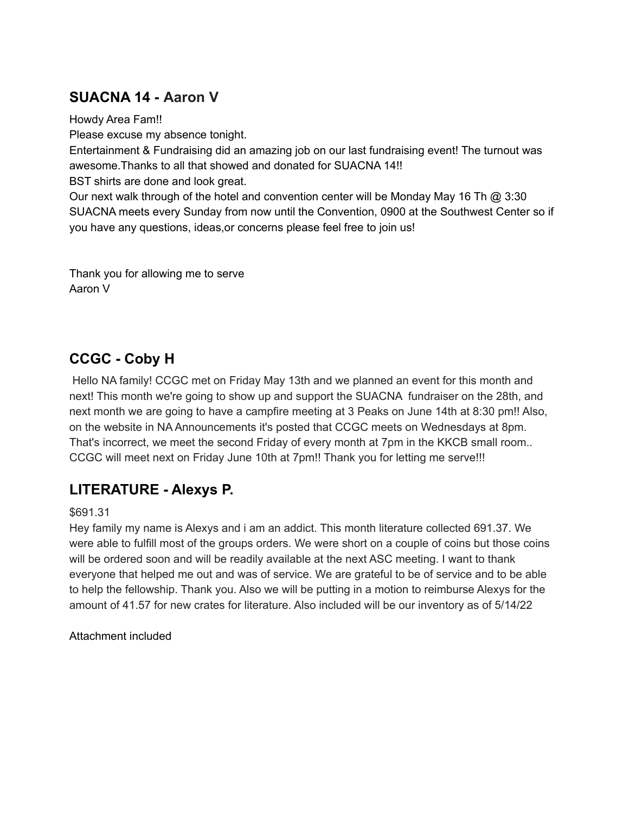# **SUACNA 14 - Aaron V**

Howdy Area Fam!!

Please excuse my absence tonight.

Entertainment & Fundraising did an amazing job on our last fundraising event! The turnout was awesome.Thanks to all that showed and donated for SUACNA 14!!

BST shirts are done and look great.

Our next walk through of the hotel and convention center will be Monday May 16 Th  $\textcircled{a}$  3:30 SUACNA meets every Sunday from now until the Convention, 0900 at the Southwest Center so if you have any questions, ideas,or concerns please feel free to join us!

Thank you for allowing me to serve Aaron V

# **CCGC - Coby H**

Hello NA family! CCGC met on Friday May 13th and we planned an event for this month and next! This month we're going to show up and support the SUACNA fundraiser on the 28th, and next month we are going to have a campfire meeting at 3 Peaks on June 14th at 8:30 pm!! Also, on the website in NA Announcements it's posted that CCGC meets on Wednesdays at 8pm. That's incorrect, we meet the second Friday of every month at 7pm in the KKCB small room.. CCGC will meet next on Friday June 10th at 7pm!! Thank you for letting me serve!!!

# **LITERATURE - Alexys P.**

### \$691.31

Hey family my name is Alexys and i am an addict. This month literature collected 691.37. We were able to fulfill most of the groups orders. We were short on a couple of coins but those coins will be ordered soon and will be readily available at the next ASC meeting. I want to thank everyone that helped me out and was of service. We are grateful to be of service and to be able to help the fellowship. Thank you. Also we will be putting in a motion to reimburse Alexys for the amount of 41.57 for new crates for literature. Also included will be our inventory as of 5/14/22

Attachment included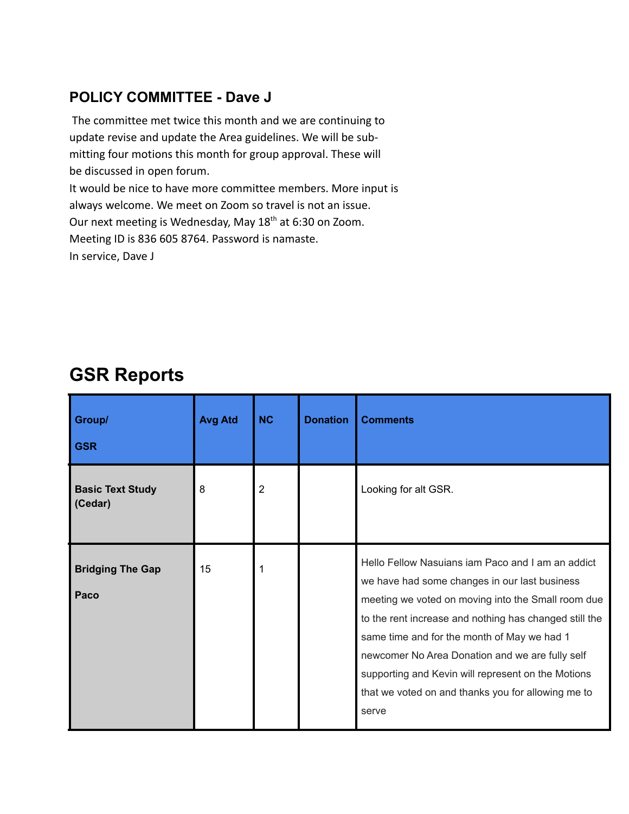# **POLICY COMMITTEE - Dave J**

The committee met twice this month and we are continuing to update revise and update the Area guidelines. We will be submitting four motions this month for group approval. These will be discussed in open forum. It would be nice to have more committee members. More input is always welcome. We meet on Zoom so travel is not an issue. Our next meeting is Wednesday, May 18<sup>th</sup> at 6:30 on Zoom. Meeting ID is 836 605 8764. Password is namaste.

In service, Dave J

| Group/<br><b>GSR</b>               | <b>Avg Atd</b> | <b>NC</b>      | <b>Donation</b> | <b>Comments</b>                                                                                                                                                                                                                                                                                                                                                                                                                           |
|------------------------------------|----------------|----------------|-----------------|-------------------------------------------------------------------------------------------------------------------------------------------------------------------------------------------------------------------------------------------------------------------------------------------------------------------------------------------------------------------------------------------------------------------------------------------|
| <b>Basic Text Study</b><br>(Cedar) | 8              | $\overline{2}$ |                 | Looking for alt GSR.                                                                                                                                                                                                                                                                                                                                                                                                                      |
| <b>Bridging The Gap</b><br>Paco    | 15             |                |                 | Hello Fellow Nasujans jam Paco and I am an addict<br>we have had some changes in our last business<br>meeting we voted on moving into the Small room due<br>to the rent increase and nothing has changed still the<br>same time and for the month of May we had 1<br>newcomer No Area Donation and we are fully self<br>supporting and Kevin will represent on the Motions<br>that we voted on and thanks you for allowing me to<br>serve |

# **GSR Reports**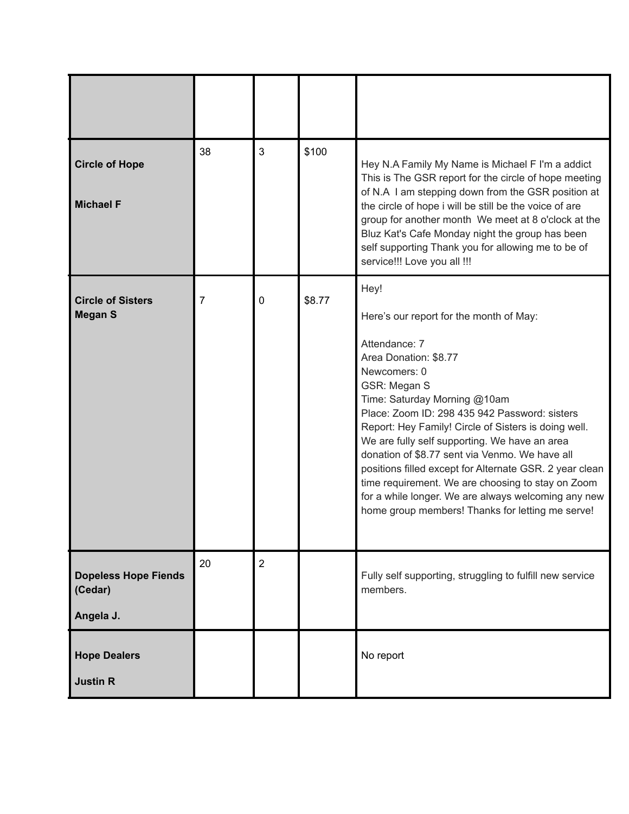| <b>Circle of Hope</b><br><b>Michael F</b>           | 38 | 3              | \$100  | Hey N.A Family My Name is Michael F I'm a addict<br>This is The GSR report for the circle of hope meeting<br>of N.A I am stepping down from the GSR position at<br>the circle of hope i will be still be the voice of are<br>group for another month We meet at 8 o'clock at the<br>Bluz Kat's Cafe Monday night the group has been<br>self supporting Thank you for allowing me to be of<br>service!!! Love you all !!!                                                                                                                                                                         |
|-----------------------------------------------------|----|----------------|--------|--------------------------------------------------------------------------------------------------------------------------------------------------------------------------------------------------------------------------------------------------------------------------------------------------------------------------------------------------------------------------------------------------------------------------------------------------------------------------------------------------------------------------------------------------------------------------------------------------|
| <b>Circle of Sisters</b><br><b>Megan S</b>          | 7  | 0              | \$8.77 | Hey!<br>Here's our report for the month of May:<br>Attendance: 7<br>Area Donation: \$8.77<br>Newcomers: 0<br>GSR: Megan S<br>Time: Saturday Morning @10am<br>Place: Zoom ID: 298 435 942 Password: sisters<br>Report: Hey Family! Circle of Sisters is doing well.<br>We are fully self supporting. We have an area<br>donation of \$8.77 sent via Venmo. We have all<br>positions filled except for Alternate GSR. 2 year clean<br>time requirement. We are choosing to stay on Zoom<br>for a while longer. We are always welcoming any new<br>home group members! Thanks for letting me serve! |
| <b>Dopeless Hope Fiends</b><br>(Cedar)<br>Angela J. | 20 | $\overline{2}$ |        | Fully self supporting, struggling to fulfill new service<br>members.                                                                                                                                                                                                                                                                                                                                                                                                                                                                                                                             |
| <b>Hope Dealers</b><br><b>Justin R</b>              |    |                |        | No report                                                                                                                                                                                                                                                                                                                                                                                                                                                                                                                                                                                        |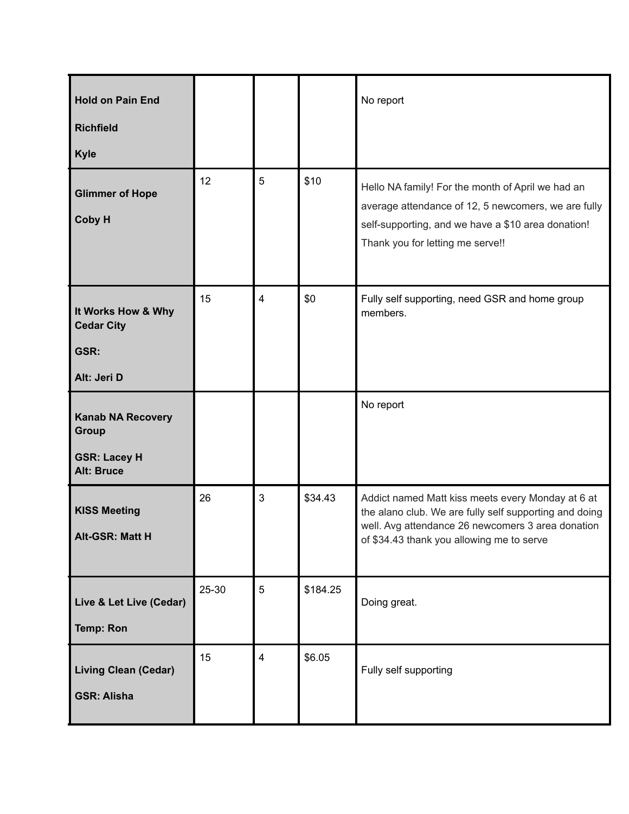| <b>Hold on Pain End</b><br><b>Richfield</b><br><b>Kyle</b>                           |       |                |          | No report                                                                                                                                                                                                     |
|--------------------------------------------------------------------------------------|-------|----------------|----------|---------------------------------------------------------------------------------------------------------------------------------------------------------------------------------------------------------------|
| <b>Glimmer of Hope</b><br>Coby H                                                     | 12    | 5              | \$10     | Hello NA family! For the month of April we had an<br>average attendance of 12, 5 newcomers, we are fully<br>self-supporting, and we have a \$10 area donation!<br>Thank you for letting me serve!!            |
| It Works How & Why<br><b>Cedar City</b><br>GSR:<br>Alt: Jeri D                       | 15    | $\overline{4}$ | \$0      | Fully self supporting, need GSR and home group<br>members.                                                                                                                                                    |
| <b>Kanab NA Recovery</b><br><b>Group</b><br><b>GSR: Lacey H</b><br><b>Alt: Bruce</b> |       |                |          | No report                                                                                                                                                                                                     |
| <b>KISS Meeting</b><br>Alt-GSR: Matt H                                               | 26    | 3              | \$34.43  | Addict named Matt kiss meets every Monday at 6 at<br>the alano club. We are fully self supporting and doing<br>well. Avg attendance 26 newcomers 3 area donation<br>of \$34.43 thank you allowing me to serve |
| Live & Let Live (Cedar)<br><b>Temp: Ron</b>                                          | 25-30 | 5              | \$184.25 | Doing great.                                                                                                                                                                                                  |
| <b>Living Clean (Cedar)</b><br><b>GSR: Alisha</b>                                    | 15    | $\overline{4}$ | \$6.05   | Fully self supporting                                                                                                                                                                                         |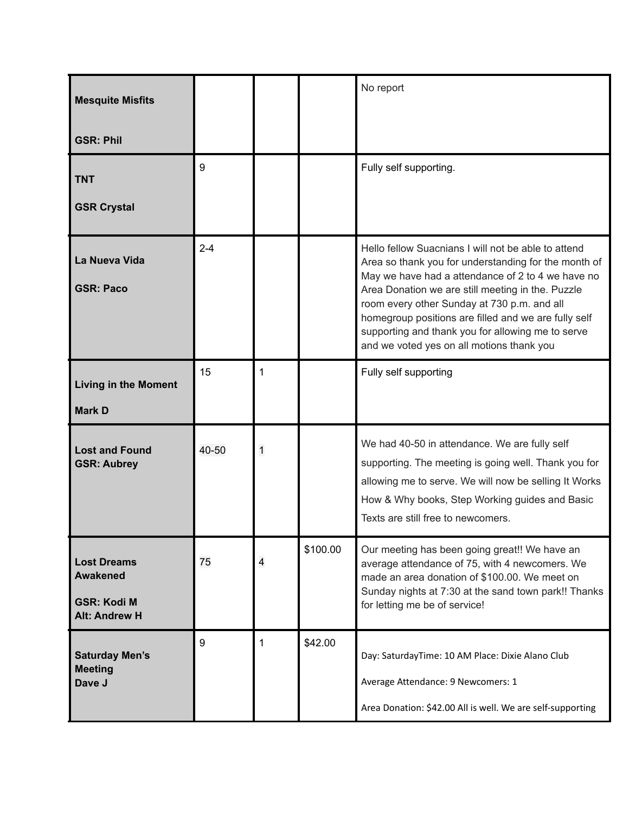| <b>Mesquite Misfits</b>                                                             |         |   |          | No report                                                                                                                                                                                                                                                                                                                                                                                                                      |
|-------------------------------------------------------------------------------------|---------|---|----------|--------------------------------------------------------------------------------------------------------------------------------------------------------------------------------------------------------------------------------------------------------------------------------------------------------------------------------------------------------------------------------------------------------------------------------|
| <b>GSR: Phil</b>                                                                    |         |   |          |                                                                                                                                                                                                                                                                                                                                                                                                                                |
| <b>TNT</b><br><b>GSR Crystal</b>                                                    | 9       |   |          | Fully self supporting.                                                                                                                                                                                                                                                                                                                                                                                                         |
| La Nueva Vida<br><b>GSR: Paco</b>                                                   | $2 - 4$ |   |          | Hello fellow Suacnians I will not be able to attend<br>Area so thank you for understanding for the month of<br>May we have had a attendance of 2 to 4 we have no<br>Area Donation we are still meeting in the. Puzzle<br>room every other Sunday at 730 p.m. and all<br>homegroup positions are filled and we are fully self<br>supporting and thank you for allowing me to serve<br>and we voted yes on all motions thank you |
| <b>Living in the Moment</b><br><b>Mark D</b>                                        | 15      | 1 |          | Fully self supporting                                                                                                                                                                                                                                                                                                                                                                                                          |
| <b>Lost and Found</b><br><b>GSR: Aubrey</b>                                         | 40-50   | 1 |          | We had 40-50 in attendance. We are fully self<br>supporting. The meeting is going well. Thank you for<br>allowing me to serve. We will now be selling It Works<br>How & Why books, Step Working guides and Basic<br>Texts are still free to newcomers.                                                                                                                                                                         |
| <b>Lost Dreams</b><br><b>Awakened</b><br><b>GSR: Kodi M</b><br><b>Alt: Andrew H</b> | 75      | 4 | \$100.00 | Our meeting has been going great!! We have an<br>average attendance of 75, with 4 newcomers. We<br>made an area donation of \$100.00. We meet on<br>Sunday nights at 7:30 at the sand town park!! Thanks<br>for letting me be of service!                                                                                                                                                                                      |
| <b>Saturday Men's</b><br><b>Meeting</b><br>Dave J                                   | 9       | 1 | \$42.00  | Day: SaturdayTime: 10 AM Place: Dixie Alano Club<br>Average Attendance: 9 Newcomers: 1<br>Area Donation: \$42.00 All is well. We are self-supporting                                                                                                                                                                                                                                                                           |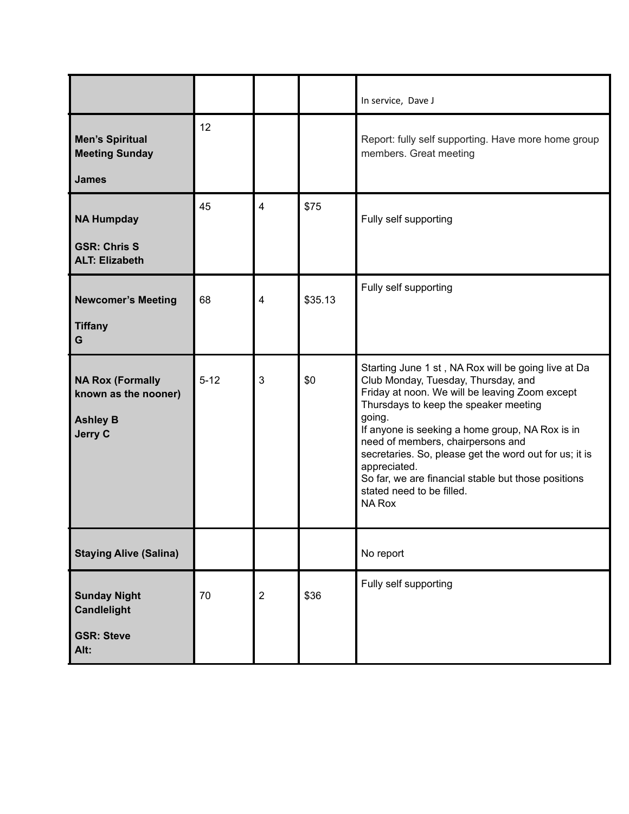|                                                                                      |          |                |         | In service, Dave J                                                                                                                                                                                                                                                                                                                                                                                                                                                     |
|--------------------------------------------------------------------------------------|----------|----------------|---------|------------------------------------------------------------------------------------------------------------------------------------------------------------------------------------------------------------------------------------------------------------------------------------------------------------------------------------------------------------------------------------------------------------------------------------------------------------------------|
| <b>Men's Spiritual</b><br><b>Meeting Sunday</b><br><b>James</b>                      | 12       |                |         | Report: fully self supporting. Have more home group<br>members. Great meeting                                                                                                                                                                                                                                                                                                                                                                                          |
| <b>NA Humpday</b><br><b>GSR: Chris S</b><br><b>ALT: Elizabeth</b>                    | 45       | $\overline{4}$ | \$75    | Fully self supporting                                                                                                                                                                                                                                                                                                                                                                                                                                                  |
| <b>Newcomer's Meeting</b><br><b>Tiffany</b><br>G                                     | 68       | 4              | \$35.13 | Fully self supporting                                                                                                                                                                                                                                                                                                                                                                                                                                                  |
| <b>NA Rox (Formally</b><br>known as the nooner)<br><b>Ashley B</b><br><b>Jerry C</b> | $5 - 12$ | 3              | \$0     | Starting June 1 st, NA Rox will be going live at Da<br>Club Monday, Tuesday, Thursday, and<br>Friday at noon. We will be leaving Zoom except<br>Thursdays to keep the speaker meeting<br>going.<br>If anyone is seeking a home group, NA Rox is in<br>need of members, chairpersons and<br>secretaries. So, please get the word out for us; it is<br>appreciated.<br>So far, we are financial stable but those positions<br>stated need to be filled.<br><b>NA Rox</b> |
| <b>Staying Alive (Salina)</b>                                                        |          |                |         | No report                                                                                                                                                                                                                                                                                                                                                                                                                                                              |
| <b>Sunday Night</b><br><b>Candlelight</b><br><b>GSR: Steve</b><br>Alt:               | 70       | $\sqrt{2}$     | \$36    | Fully self supporting                                                                                                                                                                                                                                                                                                                                                                                                                                                  |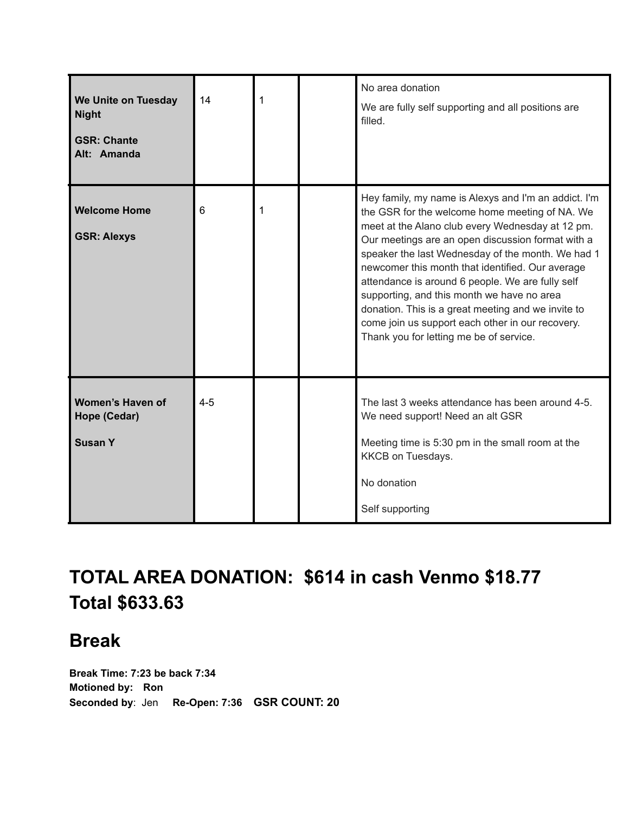| We Unite on Tuesday<br><b>Night</b><br><b>GSR: Chante</b><br>Alt: Amanda | 14      | 1 | No area donation<br>We are fully self supporting and all positions are<br>filled.                                                                                                                                                                                                                                                                                                                                                                                                                                                                                               |
|--------------------------------------------------------------------------|---------|---|---------------------------------------------------------------------------------------------------------------------------------------------------------------------------------------------------------------------------------------------------------------------------------------------------------------------------------------------------------------------------------------------------------------------------------------------------------------------------------------------------------------------------------------------------------------------------------|
| <b>Welcome Home</b><br><b>GSR: Alexys</b>                                | 6       | 1 | Hey family, my name is Alexys and I'm an addict. I'm<br>the GSR for the welcome home meeting of NA. We<br>meet at the Alano club every Wednesday at 12 pm.<br>Our meetings are an open discussion format with a<br>speaker the last Wednesday of the month. We had 1<br>newcomer this month that identified. Our average<br>attendance is around 6 people. We are fully self<br>supporting, and this month we have no area<br>donation. This is a great meeting and we invite to<br>come join us support each other in our recovery.<br>Thank you for letting me be of service. |
| Women's Haven of<br>Hope (Cedar)<br><b>Susan Y</b>                       | $4 - 5$ |   | The last 3 weeks attendance has been around 4-5.<br>We need support! Need an alt GSR<br>Meeting time is 5:30 pm in the small room at the<br>KKCB on Tuesdays.<br>No donation<br>Self supporting                                                                                                                                                                                                                                                                                                                                                                                 |

# **TOTAL AREA DONATION: \$614 in cash Venmo \$18.77 Total \$633.63**

# **Break**

**Break Time: 7:23 be back 7:34 Motioned by: Ron Seconded by**: Jen **Re-Open: 7:36 GSR COUNT: 20**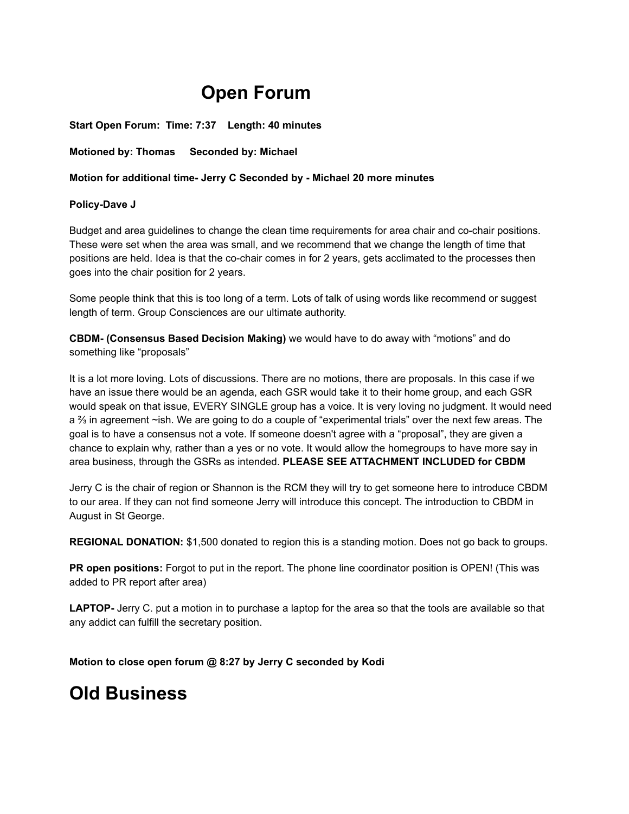# **Open Forum**

**Start Open Forum: Time: 7:37 Length: 40 minutes**

**Motioned by: Thomas Seconded by: Michael**

#### **Motion for additional time- Jerry C Seconded by - Michael 20 more minutes**

#### **Policy-Dave J**

Budget and area guidelines to change the clean time requirements for area chair and co-chair positions. These were set when the area was small, and we recommend that we change the length of time that positions are held. Idea is that the co-chair comes in for 2 years, gets acclimated to the processes then goes into the chair position for 2 years.

Some people think that this is too long of a term. Lots of talk of using words like recommend or suggest length of term. Group Consciences are our ultimate authority.

**CBDM- (Consensus Based Decision Making)** we would have to do away with "motions" and do something like "proposals"

It is a lot more loving. Lots of discussions. There are no motions, there are proposals. In this case if we have an issue there would be an agenda, each GSR would take it to their home group, and each GSR would speak on that issue, EVERY SINGLE group has a voice. It is very loving no judgment. It would need a ⅔ in agreement ~ish. We are going to do a couple of "experimental trials" over the next few areas. The goal is to have a consensus not a vote. If someone doesn't agree with a "proposal", they are given a chance to explain why, rather than a yes or no vote. It would allow the homegroups to have more say in area business, through the GSRs as intended. **PLEASE SEE ATTACHMENT INCLUDED for CBDM**

Jerry C is the chair of region or Shannon is the RCM they will try to get someone here to introduce CBDM to our area. If they can not find someone Jerry will introduce this concept. The introduction to CBDM in August in St George.

**REGIONAL DONATION:** \$1,500 donated to region this is a standing motion. Does not go back to groups.

**PR open positions:** Forgot to put in the report. The phone line coordinator position is OPEN! (This was added to PR report after area)

**LAPTOP-** Jerry C. put a motion in to purchase a laptop for the area so that the tools are available so that any addict can fulfill the secretary position.

**Motion to close open forum @ 8:27 by Jerry C seconded by Kodi**

# **Old Business**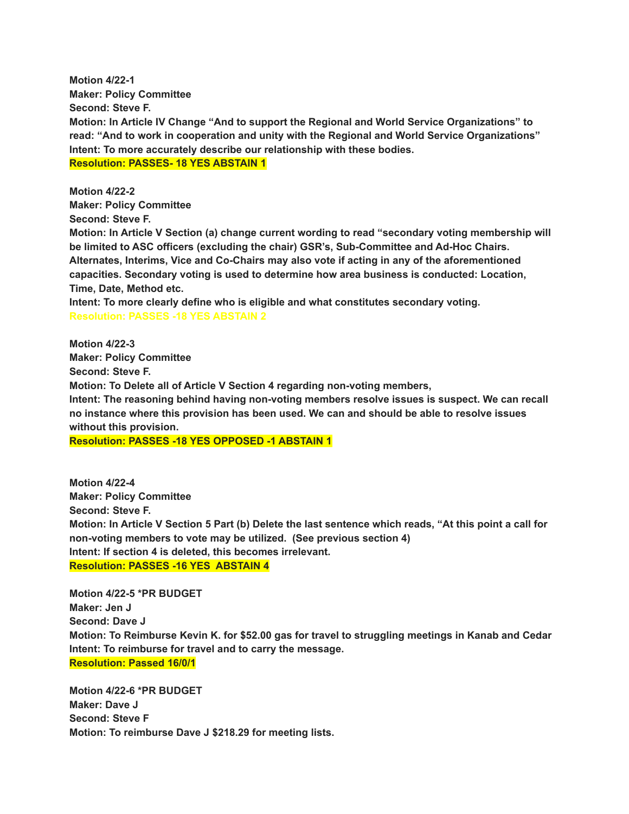**Motion 4/22-1 Maker: Policy Committee Second: Steve F. Motion: In Article IV Change "And to support the Regional and World Service Organizations" to read: "And to work in cooperation and unity with the Regional and World Service Organizations" Intent: To more accurately describe our relationship with these bodies. Resolution: PASSES- 18 YES ABSTAIN 1**

**Motion 4/22-2 Maker: Policy Committee**

**Second: Steve F.**

**Motion: In Article V Section (a) change current wording to read "secondary voting membership will be limited to ASC officers (excluding the chair) GSR's, Sub-Committee and Ad-Hoc Chairs. Alternates, Interims, Vice and Co-Chairs may also vote if acting in any of the aforementioned capacities. Secondary voting is used to determine how area business is conducted: Location, Time, Date, Method etc.**

**Intent: To more clearly define who is eligible and what constitutes secondary voting. Resolution: PASSES -18 YES ABSTAIN 2**

**Motion 4/22-3 Maker: Policy Committee Second: Steve F. Motion: To Delete all of Article V Section 4 regarding non-voting members, Intent: The reasoning behind having non-voting members resolve issues is suspect. We can recall no instance where this provision has been used. We can and should be able to resolve issues without this provision.**

**Resolution: PASSES -18 YES OPPOSED -1 ABSTAIN 1**

**Motion 4/22-4 Maker: Policy Committee Second: Steve F.** Motion: In Article V Section 5 Part (b) Delete the last sentence which reads, "At this point a call for **non-voting members to vote may be utilized. (See previous section 4) Intent: If section 4 is deleted, this becomes irrelevant. Resolution: PASSES -16 YES ABSTAIN 4**

**Motion 4/22-5 \*PR BUDGET Maker: Jen J Second: Dave J Motion: To Reimburse Kevin K. for \$52.00 gas for travel to struggling meetings in Kanab and Cedar Intent: To reimburse for travel and to carry the message. Resolution: Passed 16/0/1**

**Motion 4/22-6 \*PR BUDGET Maker: Dave J Second: Steve F Motion: To reimburse Dave J \$218.29 for meeting lists.**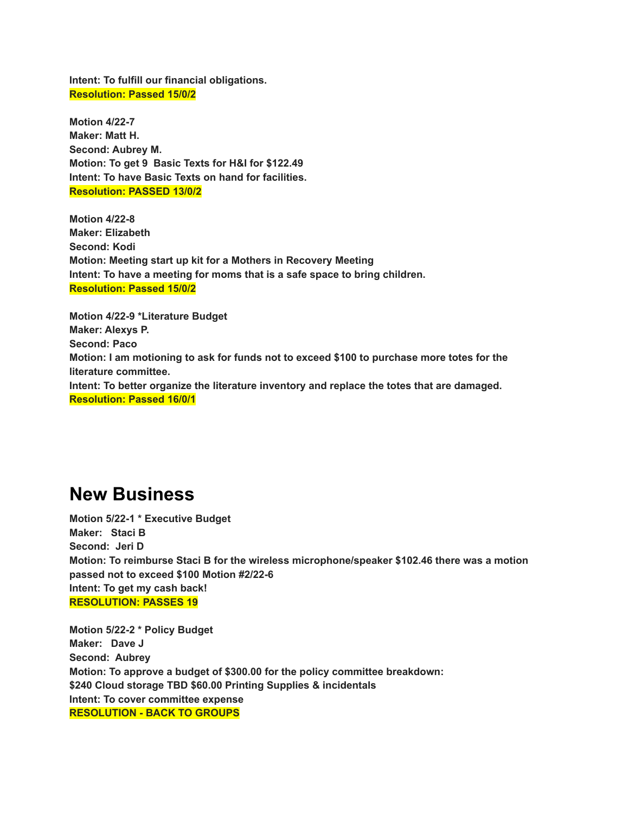**Intent: To fulfill our financial obligations. Resolution: Passed 15/0/2**

**Motion 4/22-7 Maker: Matt H. Second: Aubrey M. Motion: To get 9 Basic Texts for H&I for \$122.49 Intent: To have Basic Texts on hand for facilities. Resolution: PASSED 13/0/2**

**Motion 4/22-8 Maker: Elizabeth Second: Kodi Motion: Meeting start up kit for a Mothers in Recovery Meeting Intent: To have a meeting for moms that is a safe space to bring children. Resolution: Passed 15/0/2**

**Motion 4/22-9 \*Literature Budget Maker: Alexys P. Second: Paco Motion: I am motioning to ask for funds not to exceed \$100 to purchase more totes for the literature committee. Intent: To better organize the literature inventory and replace the totes that are damaged. Resolution: Passed 16/0/1**

# **New Business**

**Motion 5/22-1 \* Executive Budget Maker: Staci B Second: Jeri D Motion: To reimburse Staci B for the wireless microphone/speaker \$102.46 there was a motion passed not to exceed \$100 Motion #2/22-6 Intent: To get my cash back! RESOLUTION: PASSES 19**

**Motion 5/22-2 \* Policy Budget Maker: Dave J Second: Aubrey Motion: To approve a budget of \$300.00 for the policy committee breakdown: \$240 Cloud storage TBD \$60.00 Printing Supplies & incidentals Intent: To cover committee expense RESOLUTION - BACK TO GROUPS**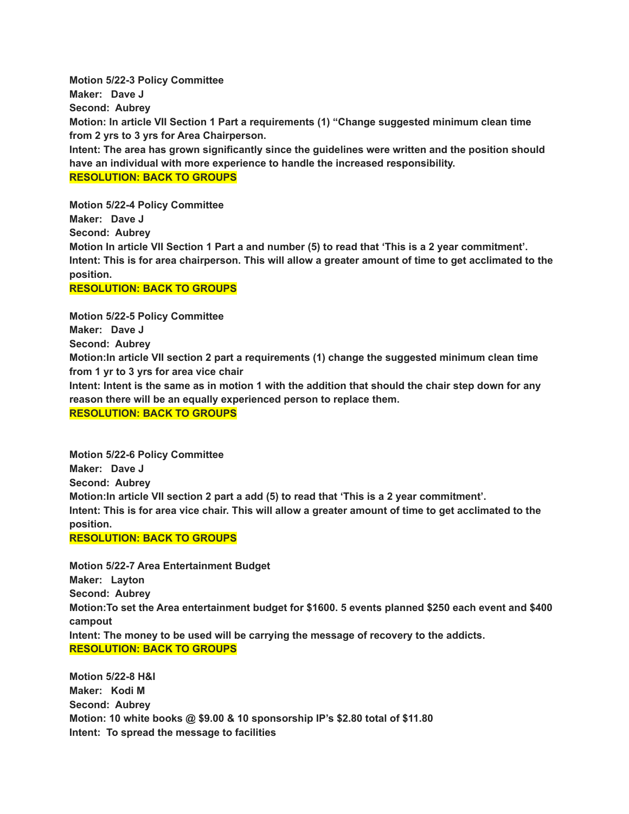**Motion 5/22-3 Policy Committee Maker: Dave J Second: Aubrey Motion: In article VII Section 1 Part a requirements (1) "Change suggested minimum clean time from 2 yrs to 3 yrs for Area Chairperson. Intent: The area has grown significantly since the guidelines were written and the position should have an individual with more experience to handle the increased responsibility. RESOLUTION: BACK TO GROUPS**

**Motion 5/22-4 Policy Committee Maker: Dave J Second: Aubrey** Motion In article VII Section 1 Part a and number (5) to read that 'This is a 2 year commitment'. Intent: This is for area chairperson. This will allow a greater amount of time to get acclimated to the **position.**

#### **RESOLUTION: BACK TO GROUPS**

**Motion 5/22-5 Policy Committee**

**Maker: Dave J**

**Second: Aubrey**

**Motion:In article VII section 2 part a requirements (1) change the suggested minimum clean time from 1 yr to 3 yrs for area vice chair**

Intent: Intent is the same as in motion 1 with the addition that should the chair step down for any **reason there will be an equally experienced person to replace them.**

**RESOLUTION: BACK TO GROUPS**

**Motion 5/22-6 Policy Committee Maker: Dave J Second: Aubrey Motion:In article VII section 2 part a add (5) to read that 'This is a 2 year commitment'.** Intent: This is for area vice chair. This will allow a greater amount of time to get acclimated to the **position.**

**RESOLUTION: BACK TO GROUPS**

**Motion 5/22-7 Area Entertainment Budget Maker: Layton Second: Aubrey Motion:To set the Area entertainment budget for \$1600. 5 events planned \$250 each event and \$400 campout Intent: The money to be used will be carrying the message of recovery to the addicts. RESOLUTION: BACK TO GROUPS**

**Motion 5/22-8 H&I Maker: Kodi M Second: Aubrey Motion: 10 white books @ \$9.00 & 10 sponsorship IP's \$2.80 total of \$11.80 Intent: To spread the message to facilities**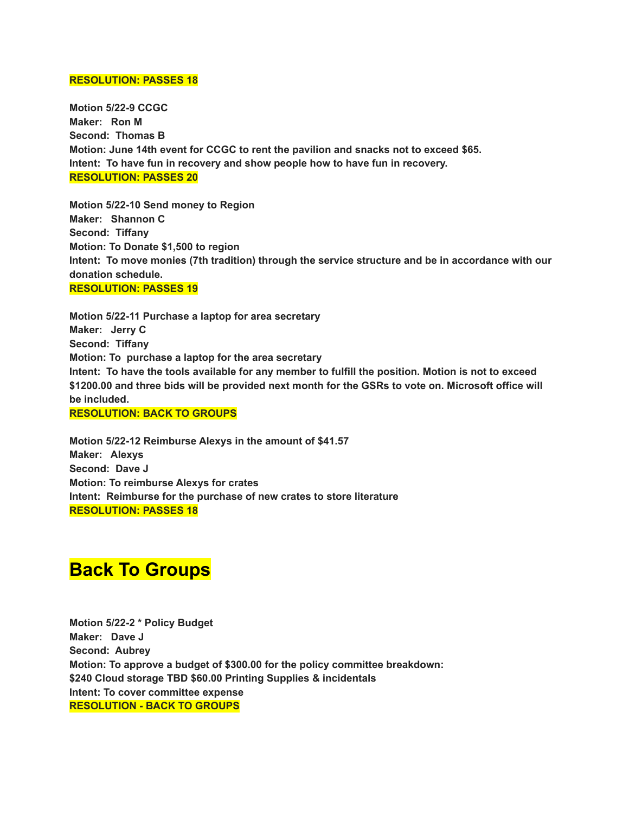#### **RESOLUTION: PASSES 18**

**Motion 5/22-9 CCGC Maker: Ron M Second: Thomas B Motion: June 14th event for CCGC to rent the pavilion and snacks not to exceed \$65. Intent: To have fun in recovery and show people how to have fun in recovery. RESOLUTION: PASSES 20**

**Motion 5/22-10 Send money to Region Maker: Shannon C Second: Tiffany Motion: To Donate \$1,500 to region Intent: To move monies (7th tradition) through the service structure and be in accordance with our donation schedule. RESOLUTION: PASSES 19**

**Motion 5/22-11 Purchase a laptop for area secretary Maker: Jerry C Second: Tiffany Motion: To purchase a laptop for the area secretary** Intent: To have the tools available for any member to fulfill the position. Motion is not to exceed **\$1200.00 and three bids will be provided next month for the GSRs to vote on. Microsoft office will be included.**

**RESOLUTION: BACK TO GROUPS**

**Motion 5/22-12 Reimburse Alexys in the amount of \$41.57 Maker: Alexys Second: Dave J Motion: To reimburse Alexys for crates Intent: Reimburse for the purchase of new crates to store literature RESOLUTION: PASSES 18**

# **Back To Groups**

**Motion 5/22-2 \* Policy Budget Maker: Dave J Second: Aubrey Motion: To approve a budget of \$300.00 for the policy committee breakdown: \$240 Cloud storage TBD \$60.00 Printing Supplies & incidentals Intent: To cover committee expense RESOLUTION - BACK TO GROUPS**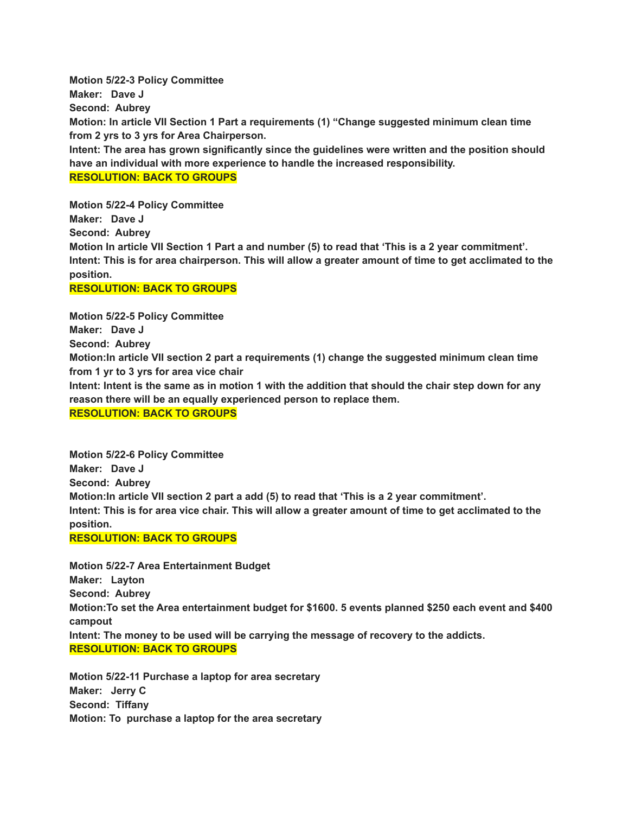**Motion 5/22-3 Policy Committee Maker: Dave J Second: Aubrey Motion: In article VII Section 1 Part a requirements (1) "Change suggested minimum clean time from 2 yrs to 3 yrs for Area Chairperson. Intent: The area has grown significantly since the guidelines were written and the position should have an individual with more experience to handle the increased responsibility. RESOLUTION: BACK TO GROUPS**

**Motion 5/22-4 Policy Committee Maker: Dave J Second: Aubrey** Motion In article VII Section 1 Part a and number (5) to read that 'This is a 2 year commitment'. Intent: This is for area chairperson. This will allow a greater amount of time to get acclimated to the **position.**

#### **RESOLUTION: BACK TO GROUPS**

**Motion 5/22-5 Policy Committee**

**Maker: Dave J**

**Second: Aubrey**

**Motion:In article VII section 2 part a requirements (1) change the suggested minimum clean time from 1 yr to 3 yrs for area vice chair**

Intent: Intent is the same as in motion 1 with the addition that should the chair step down for any **reason there will be an equally experienced person to replace them.**

**RESOLUTION: BACK TO GROUPS**

**Motion 5/22-6 Policy Committee Maker: Dave J Second: Aubrey Motion:In article VII section 2 part a add (5) to read that 'This is a 2 year commitment'.** Intent: This is for area vice chair. This will allow a greater amount of time to get acclimated to the **position.**

**RESOLUTION: BACK TO GROUPS**

**Motion 5/22-7 Area Entertainment Budget Maker: Layton Second: Aubrey Motion:To set the Area entertainment budget for \$1600. 5 events planned \$250 each event and \$400 campout Intent: The money to be used will be carrying the message of recovery to the addicts. RESOLUTION: BACK TO GROUPS**

**Motion 5/22-11 Purchase a laptop for area secretary Maker: Jerry C Second: Tiffany Motion: To purchase a laptop for the area secretary**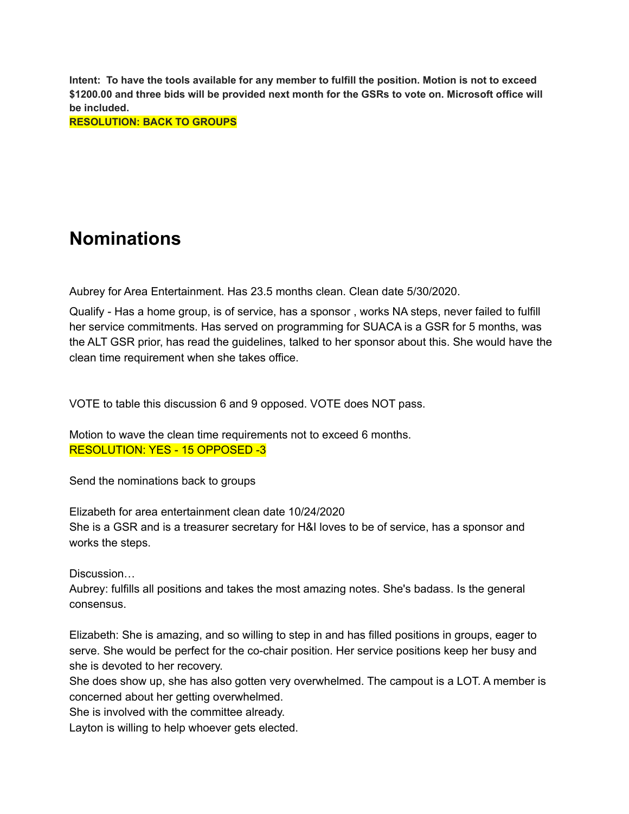Intent: To have the tools available for any member to fulfill the position. Motion is not to exceed **\$1200.00 and three bids will be provided next month for the GSRs to vote on. Microsoft office will be included.**

**RESOLUTION: BACK TO GROUPS**

# **Nominations**

Aubrey for Area Entertainment. Has 23.5 months clean. Clean date 5/30/2020.

Qualify - Has a home group, is of service, has a sponsor , works NA steps, never failed to fulfill her service commitments. Has served on programming for SUACA is a GSR for 5 months, was the ALT GSR prior, has read the guidelines, talked to her sponsor about this. She would have the clean time requirement when she takes office.

VOTE to table this discussion 6 and 9 opposed. VOTE does NOT pass.

Motion to wave the clean time requirements not to exceed 6 months. RESOLUTION: YES - 15 OPPOSED -3

Send the nominations back to groups

Elizabeth for area entertainment clean date 10/24/2020 She is a GSR and is a treasurer secretary for H&I loves to be of service, has a sponsor and works the steps.

Discussion…

Aubrey: fulfills all positions and takes the most amazing notes. She's badass. Is the general consensus.

Elizabeth: She is amazing, and so willing to step in and has filled positions in groups, eager to serve. She would be perfect for the co-chair position. Her service positions keep her busy and she is devoted to her recovery.

She does show up, she has also gotten very overwhelmed. The campout is a LOT. A member is concerned about her getting overwhelmed.

She is involved with the committee already.

Layton is willing to help whoever gets elected.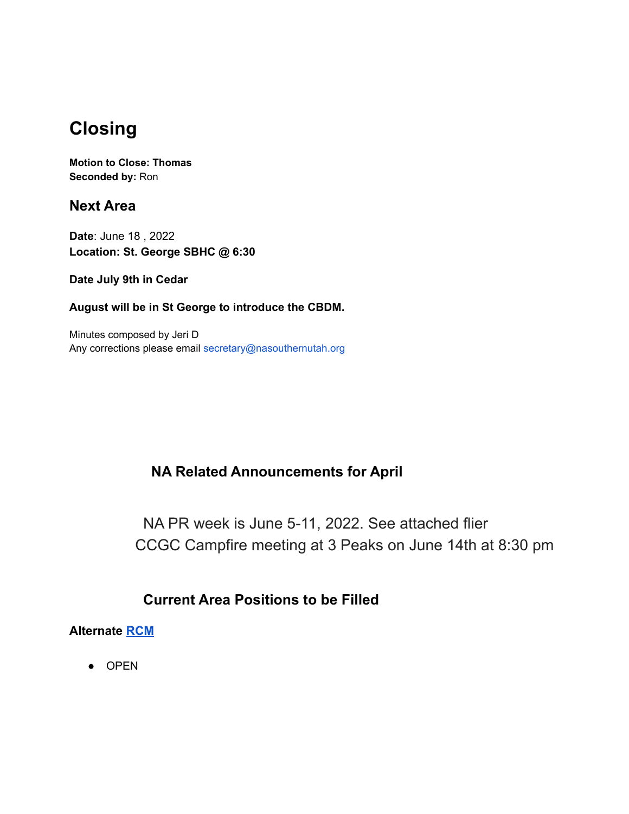# **Closing**

**Motion to Close: Thomas Seconded by:** Ron

**Next Area**

**Date**: June 18 , 2022 **Location: St. George SBHC @ 6:30**

**Date July 9th in Cedar**

**August will be in St George to introduce the CBDM.**

Minutes composed by Jeri D Any corrections please email secretary@nasouthernutah.org

### **NA Related Announcements for April**

NA PR week is June 5-11, 2022. See attached flier CCGC Campfire meeting at 3 Peaks on June 14th at 8:30 pm

### **Current Area Positions to be Filled**

### **Alternate [RCM](https://drive.google.com/file/d/1mp5Zfyc-_2gkb6r9o2KZzPpLteAFr3du/view?usp=sharing)**

● OPEN